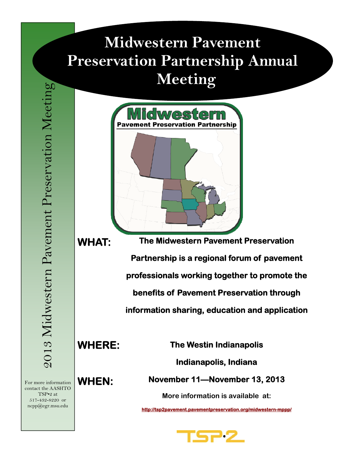# **Midwestern Pavement Preservation Partnership Annual Meeting**



**WHAT:** 

**The Midwestern Pavement Preservation Partnership is a regional forum of pavement professionals working together to promote the benefits of Pavement Preservation through information sharing, education and application** 

**WHERE:** 

**The Westin Indianapolis** 

**Indianapolis, Indiana** 

**November 11—November 13, 2013** 

**More information is available at:** 

**http://tsp2pavement.pavementpreservation.org/midwestern-mppp/** 



For more information **WHEN:** contact the AASHTO TSP•2 at 517-432-8220 or ncpp@egr.msu.edu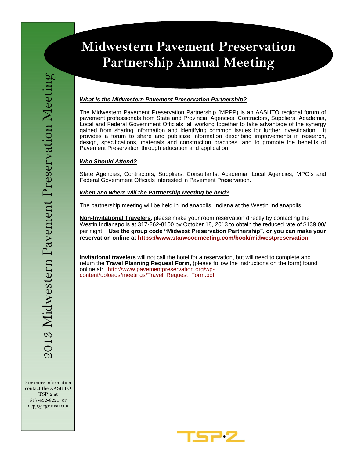## **Midwestern Pavement Preservation Partnership Annual Meeting**

#### *What is the Midwestern Pavement Preservation Partnership?*

The Midwestern Pavement Preservation Partnership (MPPP) is an AASHTO regional forum of pavement professionals from State and Provincial Agencies, Contractors, Suppliers, Academia, Local and Federal Government Officials, all working together to take advantage of the synergy gained from sharing information and identifying common issues for further investigation. It provides a forum to share and publicize information describing improvements in research, design, specifications, materials and construction practices, and to promote the benefits of Pavement Preservation through education and application.

### *Who Should Attend?*

State Agencies, Contractors, Suppliers, Consultants, Academia, Local Agencies, MPO's and Federal Government Officials interested in Pavement Preservation.

### *When and where will the Partnership Meeting be held?*

The partnership meeting will be held in Indianapolis, Indiana at the Westin Indianapolis.

**Non-Invitational Travelers**, please make your room reservation directly by contacting the Westin Indianapolis at 317-262-8100 by October 18, 2013 to obtain the reduced rate of \$139.00/ per night. **Use the group code "Midwest Preservation Partnership", or you can make your reservation online at https://www.starwoodmeeting.com/book/midwestpreservation**

**Invitational travelers** will not call the hotel for a reservation, but will need to complete and return the **Travel Planning Request Form,** (please follow the instructions on the form) found online at: http://www.pavementpreservation.org/wpcontent/uploads/meetings/Travel\_Request\_Form.pdf

For more information contact the AASHTO TSP•2 at 517-432-8220 or ncpp@egr.msu.edu

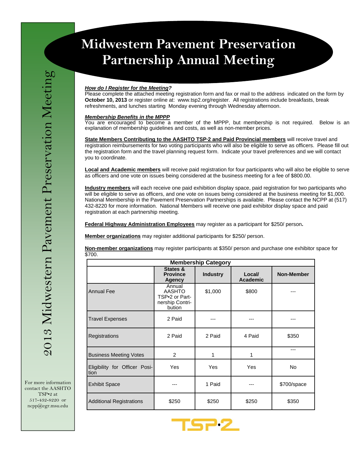## **Midwestern Pavement Preservation Particular Indian Meeting Annual Meeting Annual Meeting Annual Meeting Annual Meeting Annual Meeting Annual Me**<br>Particular annual Meeting Annual Meeting Africa Annual Meeting Africa Annual Meeting Africa annual Meeting an **Midwestern Pavement Preservation Partnership Annual Meeting**

#### *How do I Register for the Meeting?*

Please complete the attached meeting registration form and fax or mail to the address indicated on the form by **October 10, 2013** or register online at: www.tsp2.org/register. All registrations include breakfasts, break refreshments, and lunches starting Monday evening through Wednesday afternoon.

#### *Membership Benefits in the MPPP*

You are encouraged to become a member of the MPPP, but membership is not required. Below is an explanation of membership guidelines and costs, as well as non-member prices.

**State Members Contributing to the AASHTO TSP·2 and Paid Provincial members** will receive travel and registration reimbursements for two voting participants who will also be eligible to serve as officers. Please fill out the registration form and the travel planning request form. Indicate your travel preferences and we will contact you to coordinate.

**Local and Academic members** will receive paid registration for four participants who will also be eligible to serve as officers and one vote on issues being considered at the business meeting for a fee of \$800.00.

**Industry members** will each receive one paid exhibition display space, paid registration for two participants who will be eligible to serve as officers, and one vote on issues being considered at the business meeting for \$1,000. National Membership in the Pavement Preservation Partnerships is available. Please contact the NCPP at (517) 432-8220 for more information. National Members will receive one paid exhibitor display space and paid registration at each partnership meeting.

**Federal Highway Administration Employees** may register as a participant for \$250/ person**.** 

**Member organizations** may register additional participants for \$250/ person.

**Non-member organizations** may register participants at \$350/ person and purchase one exhibitor space for \$700.

| <b>Membership Category</b>            |                                                                        |                 |                           |                   |  |  |
|---------------------------------------|------------------------------------------------------------------------|-----------------|---------------------------|-------------------|--|--|
|                                       | States &<br><b>Province</b><br>Agency                                  | <b>Industry</b> | Local/<br><b>Academic</b> | <b>Non-Member</b> |  |  |
| <b>Annual Fee</b>                     | Annual<br><b>AASHTO</b><br>TSP•2 or Part-<br>nership Contri-<br>bution | \$1,000         | \$800                     |                   |  |  |
| <b>Travel Expenses</b>                | 2 Paid                                                                 |                 |                           |                   |  |  |
| Registrations                         | 2 Paid                                                                 | 2 Paid          | 4 Paid                    | \$350             |  |  |
| <b>Business Meeting Votes</b>         | 2                                                                      | 1               | 1                         | ---               |  |  |
| Eligibility for Officer Posi-<br>tion | Yes                                                                    | Yes             | Yes                       | <b>No</b>         |  |  |
| <b>Exhibit Space</b>                  |                                                                        | 1 Paid          |                           | \$700/space       |  |  |
| <b>Additional Registrations</b>       | \$250                                                                  | \$250           | \$250                     | \$350             |  |  |



For more information contact the AASHTO TSP•2 at 517-432-8220 or ncpp@egr.msu.edu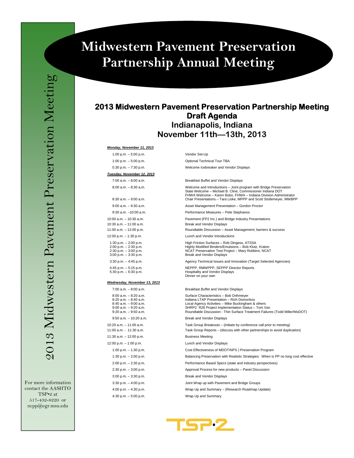## **Midwestern Pavement Preservation Partnership Annual Meeting**

For more information contact the AASHTO TSP•2 at 517-432-8220 or ncpp@egr.msu.edu

### **2013 Midwestern Pavement Preservation Partnership Meeting Draft Agenda Indianapolis, Indiana November 11th—13th, 2013**

#### *Monday, November 11, 2013*

1:00 p.m. – 5:00 p.m. Vendor Set-Up

*Tuesday, November 12, 2013*

10:30 a.m. – 11:00 a.m. Break and Vendor Displays 12:00 p.m. – 1:30 p.m. Lunch and Vendor Introductions 1:30 p.m. – 2:00 p.m. 2:00 p.m. – 2:30 p.m. 2:30 p.m. – 3:00 p.m. 4:45 p.m. – 5:15 p.m. 5:30 p.m. – 6:30 p.m.

#### *Wednesday, November 13, 2013*

| 7:00 a.m. - 8:00 a.m.                                                                                                              |
|------------------------------------------------------------------------------------------------------------------------------------|
| $8:00$ a.m. $-8:20$ a.m.<br>$8:20$ a.m. $-8:40$ a.m.<br>8:40 a.m. - 9:00 a.m.<br>$9:00$ a.m. $-9:20$ a.m.<br>9:20 a.m. - 9:50 a.m. |
| $9:50$ a.m. $-10:20$ a.m.                                                                                                          |
| 10:20 a.m. - 11:00 a.m.<br>11:00 a.m. - 11:30 a.m.                                                                                 |
| 11:30 a.m. - 12:00 p.m.                                                                                                            |
| 12:00 p.m. $-$ 1:00 p.m.                                                                                                           |
| 1:00 p.m. $-$ 1:30 p.m.                                                                                                            |
| 1:30 p.m. - 2:00 p.m.                                                                                                              |
| $2:00$ p.m. $- 2:30$ p.m.                                                                                                          |
| 2:30 p.m. - 3:00 p.m.                                                                                                              |
| $3:00$ p.m. $-3:30$ p.m.                                                                                                           |
| $3:30$ p.m. $-4:00$ p.m.                                                                                                           |
| 4:00 p.m. - 4:30 p.m.                                                                                                              |
| $1.20 \, \text{nm}$ $5.00 \, \text{nm}$                                                                                            |

1:00 p.m. – 5:00 p.m. Optional Technical Tour TBA 5:30 p.m. – 7:30 p.m. Welcome Icebreaker and Vendor Displays

#### 7:00 a.m. – 8:00 a.m. Breakfast Buffet and Vendor Displays

8:00 a.m. – 8:30 a.m.<br>State Welcome – Michael B. Cline, Commissioner Indiana DOT<br>FHWA Welcome – Karen Bobo, FHWA – Indiana Division Administrator<br>Fara Liske, MPPP and Scott Stotlemeyer, MWBPP<br>8:30 a.m. – 9:00 a.m.

9:00 a.m. – 9:30 a.m. Asset Management Presentation – Gordon Proctor

9:30 a.m. –10:00 a.m. Performance Measures – Pete Stephanos

10:00 a.m. – 10:30 a.m. Pavement (FP2 Inc.) and Bridge Industry Presentations

11:00 a.m. – 12:00 p.m. Roundtable Discussion – Asset Management; barriers & success

High Friction Surfaces – Rob Dingess, ATSSA Highly Modified Binders/Emulsions – Bob Klutz, Kraton NCAT Preservation Test Project – Mary Robbins, NCAT Break and Vendor Displays

3:30 p.m. – 4:45 p.m. Agency Technical Issues and Innovation (Target Selected Agencies)

NEPPP, RMWPPP, SEPPP Director Reports Hospitality and Vendor Displays Dinner on your own

#### Breakfast Buffet and Vendor Displays

| $8:00$ a.m. $-8:20$ a.m.<br>$8:20$ a.m. $-8:40$ a.m.<br>$8:40$ a.m. $-9:00$ a.m.<br>$9:00$ a.m. $-9:20$ a.m.<br>$9:20$ a.m. $-9:50$ a.m. | Surface Characteristics - Bob Orthmeyer<br>Indiana LTAP Presentation - Rich Domonkos<br>Local Agency Activities - Mike Buckingham & others<br>SHRP2 R26 Project Implementation Status - Tom Van<br>Roundtable Discussion - Thin Surface Treatment Failures (Todd Miller/MoDOT) |
|------------------------------------------------------------------------------------------------------------------------------------------|--------------------------------------------------------------------------------------------------------------------------------------------------------------------------------------------------------------------------------------------------------------------------------|
| $9:50$ a.m. $-10:20$ a.m.                                                                                                                | Break and Vendor Displays                                                                                                                                                                                                                                                      |
| $10:20$ a.m. $-11:00$ a.m.<br>11:00 a.m. - 11:30 a.m.                                                                                    | Task Group Breakouts – (initiate by conference call prior to meeting)<br>Task Group Reports - (discuss with other partnerships to avoid duplication)                                                                                                                           |
| 11:30 a.m. $-$ 12:00 p.m.                                                                                                                | <b>Business Meeting</b>                                                                                                                                                                                                                                                        |
| 12:00 p.m. $-$ 1:00 p.m.                                                                                                                 | Lunch and Vendor Displays                                                                                                                                                                                                                                                      |
| $1:00$ p.m. $-1:30$ p.m.                                                                                                                 | Cost Effectiveness of MDOT/NPS ) Preservation Program                                                                                                                                                                                                                          |
| 1:30 p.m. $-$ 2:00 p.m.                                                                                                                  | Balancing Preservation with Realistic Strategies: When is PP no long cost effective                                                                                                                                                                                            |
| $2:00$ p.m. $- 2:30$ p.m.                                                                                                                | Performance Based Specs (state and industry perspectives)                                                                                                                                                                                                                      |
| $2:30$ p.m. $-3:00$ p.m.                                                                                                                 | Approval Process for new products - Panel Discussion                                                                                                                                                                                                                           |
| $3:00$ p.m. $-3:30$ p.m.                                                                                                                 | Break and Vendor Displays                                                                                                                                                                                                                                                      |
| $3:30$ p.m. $-4:00$ p.m.                                                                                                                 | Joint Wrap up with Pavement and Bridge Groups                                                                                                                                                                                                                                  |
| 4:00 p.m. $-$ 4:30 p.m.                                                                                                                  | Wrap Up and Summary - (Research Roadmap Update)                                                                                                                                                                                                                                |
| $4:30$ p.m. $-5:00$ p.m.                                                                                                                 | Wrap Up and Summary                                                                                                                                                                                                                                                            |

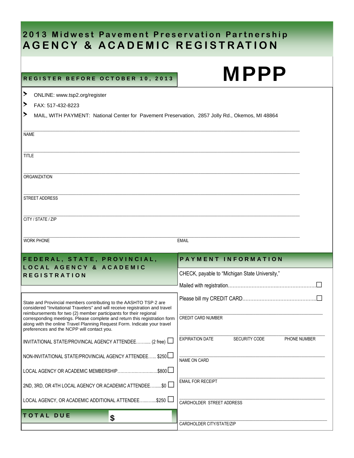## **2013 Midwest Pavement Preservation Partnership AGENCY & ACADEMIC REGISTRATION**

## REGISTER BEFORE OCTOBER 10, 2013

| ▶                                                                                                                                                                                                                                                                                                                                                                                                                             | ONLINE: www.tsp2.org/register                                                                   |                                                                |  |  |  |
|-------------------------------------------------------------------------------------------------------------------------------------------------------------------------------------------------------------------------------------------------------------------------------------------------------------------------------------------------------------------------------------------------------------------------------|-------------------------------------------------------------------------------------------------|----------------------------------------------------------------|--|--|--|
| ≻                                                                                                                                                                                                                                                                                                                                                                                                                             | FAX: 517-432-8223                                                                               |                                                                |  |  |  |
| ≻                                                                                                                                                                                                                                                                                                                                                                                                                             | MAIL, WITH PAYMENT: National Center for Pavement Preservation, 2857 Jolly Rd., Okemos, MI 48864 |                                                                |  |  |  |
| <b>NAME</b>                                                                                                                                                                                                                                                                                                                                                                                                                   |                                                                                                 |                                                                |  |  |  |
| TITLE                                                                                                                                                                                                                                                                                                                                                                                                                         |                                                                                                 |                                                                |  |  |  |
|                                                                                                                                                                                                                                                                                                                                                                                                                               | <b>ORGANIZATION</b>                                                                             |                                                                |  |  |  |
|                                                                                                                                                                                                                                                                                                                                                                                                                               | STREET ADDRESS                                                                                  |                                                                |  |  |  |
|                                                                                                                                                                                                                                                                                                                                                                                                                               | CITY / STATE / ZIP                                                                              |                                                                |  |  |  |
|                                                                                                                                                                                                                                                                                                                                                                                                                               | <b>WORK PHONE</b>                                                                               | <b>EMAIL</b>                                                   |  |  |  |
|                                                                                                                                                                                                                                                                                                                                                                                                                               | FEDERAL, STATE, PROVINCIAL,                                                                     | <b>PAYMENT INFORMATION</b>                                     |  |  |  |
|                                                                                                                                                                                                                                                                                                                                                                                                                               | <b>LOCAL AGENCY &amp; ACADEMIC</b>                                                              | CHECK, payable to "Michigan State University,"                 |  |  |  |
|                                                                                                                                                                                                                                                                                                                                                                                                                               | <b>REGISTRATION</b>                                                                             |                                                                |  |  |  |
|                                                                                                                                                                                                                                                                                                                                                                                                                               |                                                                                                 |                                                                |  |  |  |
| State and Provincial members contributing to the AASHTO TSP-2 are<br>considered "Invitational Travelers" and will receive registration and travel<br>reimbursements for two (2) member participants for their regional<br>corresponding meetings. Please complete and return this registration form<br>along with the online Travel Planning Request Form. Indicate your travel<br>preferences and the NCPP will contact you. |                                                                                                 |                                                                |  |  |  |
|                                                                                                                                                                                                                                                                                                                                                                                                                               |                                                                                                 | <b>CREDIT CARD NUMBER</b>                                      |  |  |  |
|                                                                                                                                                                                                                                                                                                                                                                                                                               | INVITATIONAL STATE/PROVINCAL AGENCY ATTENDEE (2 free)                                           | <b>EXPIRATION DATE</b><br><b>SECURITY CODE</b><br>PHONE NUMBER |  |  |  |
|                                                                                                                                                                                                                                                                                                                                                                                                                               | NON-INVITATIONAL STATE/PROVINCIAL AGENCY ATTENDEE \$250                                         | NAME ON CARD                                                   |  |  |  |
|                                                                                                                                                                                                                                                                                                                                                                                                                               | \$800 l<br>LOCAL AGENCY OR ACADEMIC MEMBERSHIP                                                  |                                                                |  |  |  |
| 2ND, 3RD, OR 4TH LOCAL AGENCY OR ACADEMIC ATTENDEE\$0                                                                                                                                                                                                                                                                                                                                                                         |                                                                                                 | <b>EMAIL FOR RECEIPT</b>                                       |  |  |  |
|                                                                                                                                                                                                                                                                                                                                                                                                                               |                                                                                                 |                                                                |  |  |  |
|                                                                                                                                                                                                                                                                                                                                                                                                                               | \$250<br>LOCAL AGENCY, OR ACADEMIC ADDITIONAL ATTENDEE                                          | CARDHOLDER STREET ADDRESS                                      |  |  |  |

MPPP

CARDHOLDER CITY/STATE/ZIP